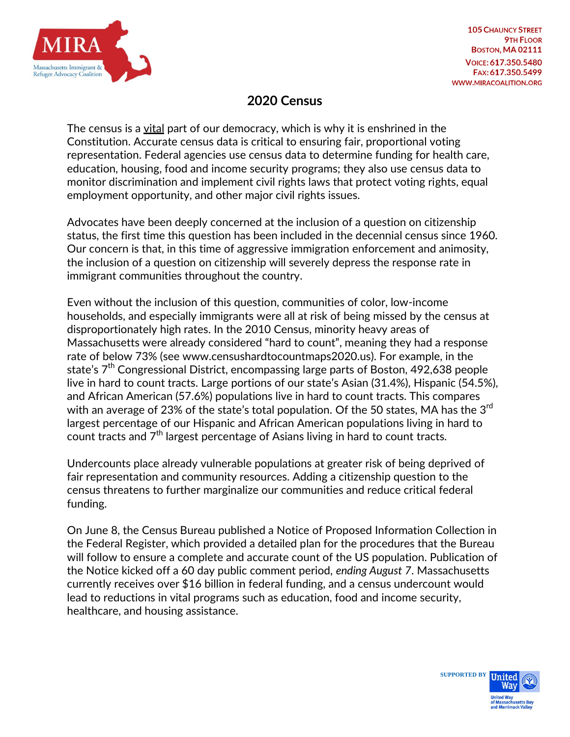

## **2020 Census**

The census is a vital part of our democracy, which is why it is enshrined in the Constitution. Accurate census data is critical to ensuring fair, proportional voting representation. Federal agencies use census data to determine funding for health care, education, housing, food and income security programs; they also use census data to monitor discrimination and implement civil rights laws that protect voting rights, equal employment opportunity, and other major civil rights issues.

Advocates have been deeply concerned at the inclusion of a question on citizenship status, the first time this question has been included in the decennial census since 1960. Our concern is that, in this time of aggressive immigration enforcement and animosity, the inclusion of a question on citizenship will severely depress the response rate in immigrant communities throughout the country.

Even without the inclusion of this question, communities of color, low-income households, and especially immigrants were all at risk of being missed by the census at disproportionately high rates. In the 2010 Census, minority heavy areas of Massachusetts were already considered "hard to count", meaning they had a response rate of below 73% (see www.censushardtocountmaps2020.us). For example, in the state's  $7<sup>th</sup>$  Congressional District, encompassing large parts of Boston, 492,638 people live in hard to count tracts. Large portions of our state's Asian (31.4%), Hispanic (54.5%), and African American (57.6%) populations live in hard to count tracts. This compares with an average of 23% of the state's total population. Of the 50 states, MA has the  $3<sup>rd</sup>$ largest percentage of our Hispanic and African American populations living in hard to count tracts and  $7<sup>th</sup>$  largest percentage of Asians living in hard to count tracts.

Undercounts place already vulnerable populations at greater risk of being deprived of fair representation and community resources. Adding a citizenship question to the census threatens to further marginalize our communities and reduce critical federal funding.

On June 8, the Census Bureau published a Notice of Proposed Information Collection in the Federal Register, which provided a detailed plan for the procedures that the Bureau will follow to ensure a complete and accurate count of the US population. Publication of the Notice kicked off a 60 day public comment period, *ending August 7*. Massachusetts currently receives over \$16 billion in federal funding, and a census undercount would lead to reductions in vital programs such as education, food and income security, healthcare, and housing assistance.